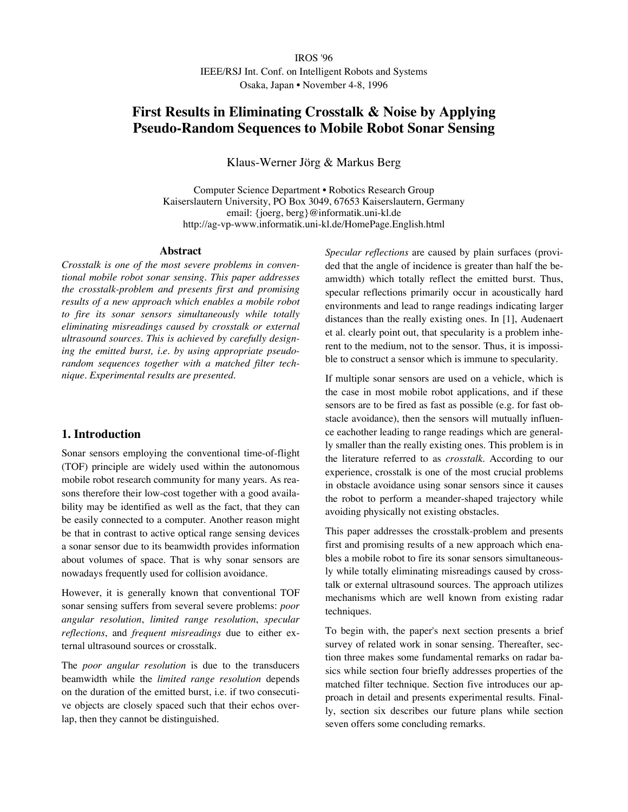IROS '96 IEEE/RSJ Int. Conf. on Intelligent Robots and Systems Osaka, Japan • November 4-8, 1996

# **First Results in Eliminating Crosstalk & Noise by Applying Pseudo-Random Sequences to Mobile Robot Sonar Sensing**

Klaus-Werner Jörg & Markus Berg

Computer Science Department • Robotics Research Group Kaiserslautern University, PO Box 3049, 67653 Kaiserslautern, Germany email: {joerg, berg}@informatik.uni-kl.de http://ag-vp-www.informatik.uni-kl.de/HomePage.English.html

#### **Abstract**

*Crosstalk is one of the most severe problems in conventional mobile robot sonar sensing. This paper addresses the crosstalk-problem and presents first and promising results of a new approach which enables a mobile robot to fire its sonar sensors simultaneously while totally eliminating misreadings caused by crosstalk or external ultrasound sources. This is achieved by carefully designing the emitted burst, i.e. by using appropriate pseudorandom sequences together with a matched filter technique. Experimental results are presented.*

## **1. Introduction**

Sonar sensors employing the conventional time-of-flight (TOF) principle are widely used within the autonomous mobile robot research community for many years. As reasons therefore their low-cost together with a good availability may be identified as well as the fact, that they can be easily connected to a computer. Another reason might be that in contrast to active optical range sensing devices a sonar sensor due to its beamwidth provides information about volumes of space. That is why sonar sensors are nowadays frequently used for collision avoidance.

However, it is generally known that conventional TOF sonar sensing suffers from several severe problems: *poor angular resolution*, *limited range resolution*, *specular reflections*, and *frequent misreadings* due to either external ultrasound sources or crosstalk.

The *poor angular resolution* is due to the transducers beamwidth while the *limited range resolution* depends on the duration of the emitted burst, i.e. if two consecutive objects are closely spaced such that their echos overlap, then they cannot be distinguished.

*Specular reflections* are caused by plain surfaces (provided that the angle of incidence is greater than half the beamwidth) which totally reflect the emitted burst. Thus, specular reflections primarily occur in acoustically hard environments and lead to range readings indicating larger distances than the really existing ones. In [1], Audenaert et al. clearly point out, that specularity is a problem inherent to the medium, not to the sensor. Thus, it is impossible to construct a sensor which is immune to specularity.

If multiple sonar sensors are used on a vehicle, which is the case in most mobile robot applications, and if these sensors are to be fired as fast as possible (e.g. for fast obstacle avoidance), then the sensors will mutually influence eachother leading to range readings which are generally smaller than the really existing ones. This problem is in the literature referred to as *crosstalk*. According to our experience, crosstalk is one of the most crucial problems in obstacle avoidance using sonar sensors since it causes the robot to perform a meander-shaped trajectory while avoiding physically not existing obstacles.

This paper addresses the crosstalk-problem and presents first and promising results of a new approach which enables a mobile robot to fire its sonar sensors simultaneously while totally eliminating misreadings caused by crosstalk or external ultrasound sources. The approach utilizes mechanisms which are well known from existing radar techniques.

To begin with, the paper's next section presents a brief survey of related work in sonar sensing. Thereafter, section three makes some fundamental remarks on radar basics while section four briefly addresses properties of the matched filter technique. Section five introduces our approach in detail and presents experimental results. Finally, section six describes our future plans while section seven offers some concluding remarks.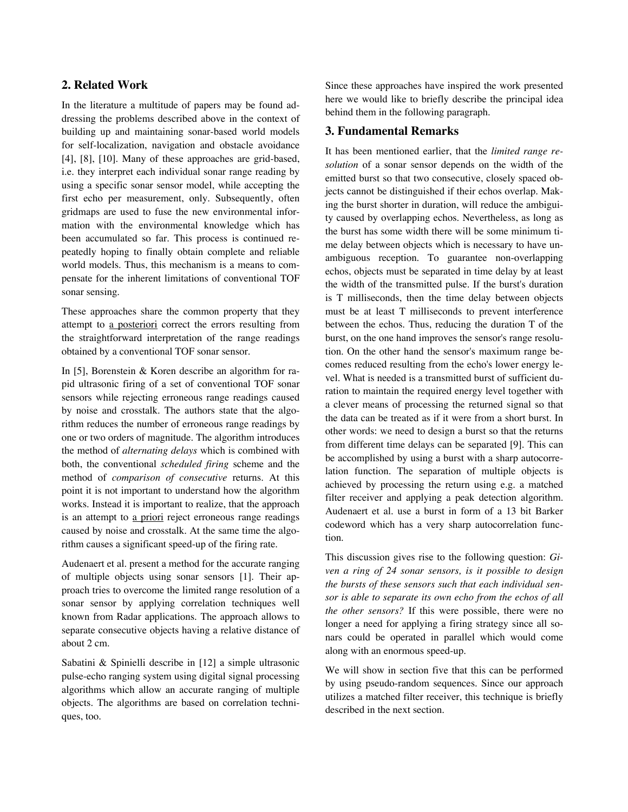# **2. Related Work**

In the literature a multitude of papers may be found addressing the problems described above in the context of building up and maintaining sonar-based world models for self-localization, navigation and obstacle avoidance [4], [8], [10]. Many of these approaches are grid-based, i.e. they interpret each individual sonar range reading by using a specific sonar sensor model, while accepting the first echo per measurement, only. Subsequently, often gridmaps are used to fuse the new environmental information with the environmental knowledge which has been accumulated so far. This process is continued repeatedly hoping to finally obtain complete and reliable world models. Thus, this mechanism is a means to compensate for the inherent limitations of conventional TOF sonar sensing.

These approaches share the common property that they attempt to a posteriori correct the errors resulting from the straightforward interpretation of the range readings obtained by a conventional TOF sonar sensor.

In [5], Borenstein & Koren describe an algorithm for rapid ultrasonic firing of a set of conventional TOF sonar sensors while rejecting erroneous range readings caused by noise and crosstalk. The authors state that the algorithm reduces the number of erroneous range readings by one or two orders of magnitude. The algorithm introduces the method of *alternating delays* which is combined with both, the conventional *scheduled firing* scheme and the method of *comparison of consecutive* returns. At this point it is not important to understand how the algorithm works. Instead it is important to realize, that the approach is an attempt to a priori reject erroneous range readings caused by noise and crosstalk. At the same time the algorithm causes a significant speed-up of the firing rate.

Audenaert et al. present a method for the accurate ranging of multiple objects using sonar sensors [1]. Their approach tries to overcome the limited range resolution of a sonar sensor by applying correlation techniques well known from Radar applications. The approach allows to separate consecutive objects having a relative distance of about 2 cm.

Sabatini & Spinielli describe in [12] a simple ultrasonic pulse-echo ranging system using digital signal processing algorithms which allow an accurate ranging of multiple objects. The algorithms are based on correlation techniques, too.

Since these approaches have inspired the work presented here we would like to briefly describe the principal idea behind them in the following paragraph.

#### **3. Fundamental Remarks**

It has been mentioned earlier, that the *limited range resolution* of a sonar sensor depends on the width of the emitted burst so that two consecutive, closely spaced objects cannot be distinguished if their echos overlap. Making the burst shorter in duration, will reduce the ambiguity caused by overlapping echos. Nevertheless, as long as the burst has some width there will be some minimum time delay between objects which is necessary to have unambiguous reception. To guarantee non-overlapping echos, objects must be separated in time delay by at least the width of the transmitted pulse. If the burst's duration is T milliseconds, then the time delay between objects must be at least T milliseconds to prevent interference between the echos. Thus, reducing the duration T of the burst, on the one hand improves the sensor's range resolution. On the other hand the sensor's maximum range becomes reduced resulting from the echo's lower energy level. What is needed is a transmitted burst of sufficient duration to maintain the required energy level together with a clever means of processing the returned signal so that the data can be treated as if it were from a short burst. In other words: we need to design a burst so that the returns from different time delays can be separated [9]. This can be accomplished by using a burst with a sharp autocorrelation function. The separation of multiple objects is achieved by processing the return using e.g. a matched filter receiver and applying a peak detection algorithm. Audenaert et al. use a burst in form of a 13 bit Barker codeword which has a very sharp autocorrelation function.

This discussion gives rise to the following question: *Given a ring of 24 sonar sensors, is it possible to design the bursts of these sensors such that each individual sensor is able to separate its own echo from the echos of all the other sensors?* If this were possible, there were no longer a need for applying a firing strategy since all sonars could be operated in parallel which would come along with an enormous speed-up.

We will show in section five that this can be performed by using pseudo-random sequences. Since our approach utilizes a matched filter receiver, this technique is briefly described in the next section.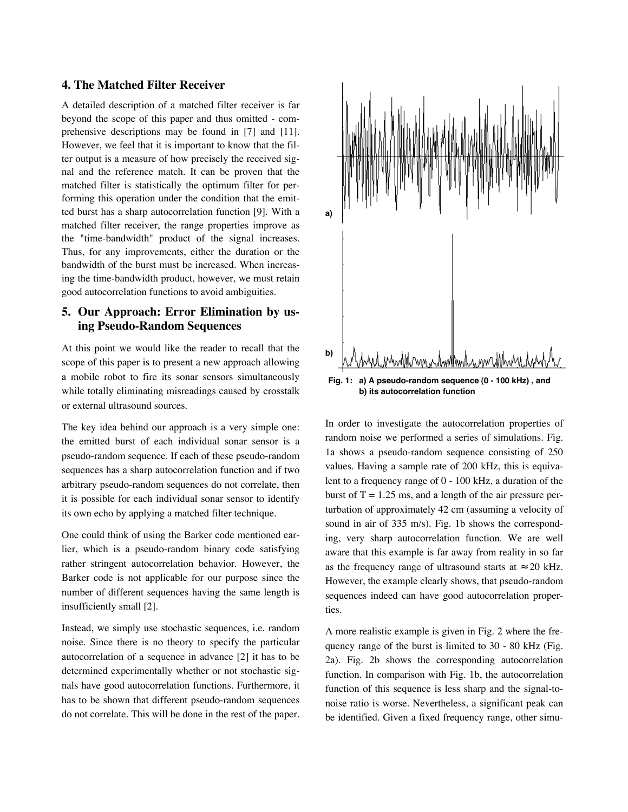## **4. The Matched Filter Receiver**

A detailed description of a matched filter receiver is far beyond the scope of this paper and thus omitted - comprehensive descriptions may be found in [7] and [11]. However, we feel that it is important to know that the filter output is a measure of how precisely the received signal and the reference match. It can be proven that the matched filter is statistically the optimum filter for performing this operation under the condition that the emitted burst has a sharp autocorrelation function [9]. With a matched filter receiver, the range properties improve as the "time-bandwidth" product of the signal increases. Thus, for any improvements, either the duration or the bandwidth of the burst must be increased. When increasing the time-bandwidth product, however, we must retain good autocorrelation functions to avoid ambiguities.

# **5. Our Approach: Error Elimination by using Pseudo-Random Sequences**

At this point we would like the reader to recall that the scope of this paper is to present a new approach allowing a mobile robot to fire its sonar sensors simultaneously while totally eliminating misreadings caused by crosstalk or external ultrasound sources.

The key idea behind our approach is a very simple one: the emitted burst of each individual sonar sensor is a pseudo-random sequence. If each of these pseudo-random sequences has a sharp autocorrelation function and if two arbitrary pseudo-random sequences do not correlate, then it is possible for each individual sonar sensor to identify its own echo by applying a matched filter technique.

One could think of using the Barker code mentioned earlier, which is a pseudo-random binary code satisfying rather stringent autocorrelation behavior. However, the Barker code is not applicable for our purpose since the number of different sequences having the same length is insufficiently small [2].

Instead, we simply use stochastic sequences, i.e. random noise. Since there is no theory to specify the particular autocorrelation of a sequence in advance [2] it has to be determined experimentally whether or not stochastic signals have good autocorrelation functions. Furthermore, it has to be shown that different pseudo-random sequences do not correlate. This will be done in the rest of the paper.



In order to investigate the autocorrelation properties of random noise we performed a series of simulations. Fig. 1a shows a pseudo-random sequence consisting of 250 values. Having a sample rate of 200 kHz, this is equivalent to a frequency range of 0 - 100 kHz, a duration of the burst of  $T = 1.25$  ms, and a length of the air pressure perturbation of approximately 42 cm (assuming a velocity of sound in air of 335 m/s). Fig. 1b shows the corresponding, very sharp autocorrelation function. We are well aware that this example is far away from reality in so far as the frequency range of ultrasound starts at  $\approx 20$  kHz. However, the example clearly shows, that pseudo-random sequences indeed can have good autocorrelation properties.

A more realistic example is given in Fig. 2 where the frequency range of the burst is limited to 30 - 80 kHz (Fig. 2a). Fig. 2b shows the corresponding autocorrelation function. In comparison with Fig. 1b, the autocorrelation function of this sequence is less sharp and the signal-tonoise ratio is worse. Nevertheless, a significant peak can be identified. Given a fixed frequency range, other simu-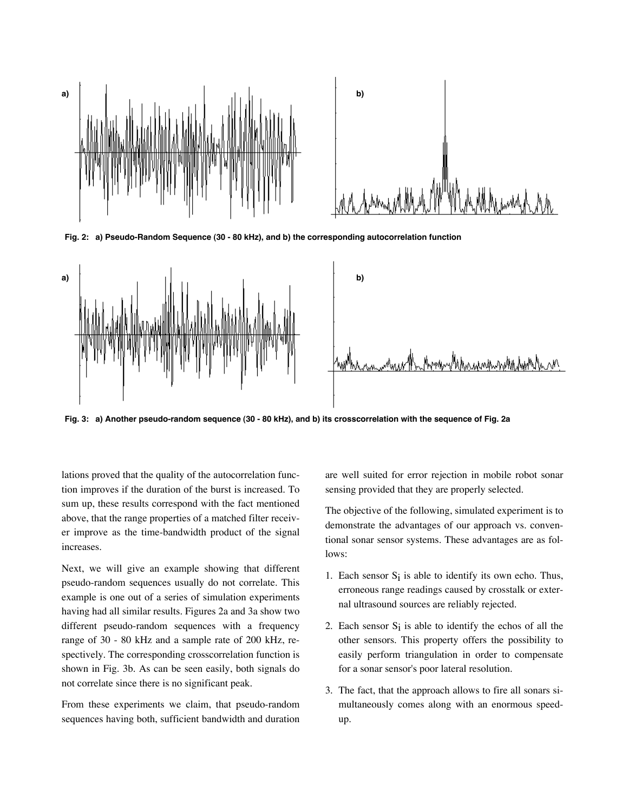



**Fig. 2: a) Pseudo-Random Sequence (30 - 80 kHz), and b) the corresponding autocorrelation function**



**Fig. 3: a) Another pseudo-random sequence (30 - 80 kHz), and b) its crosscorrelation with the sequence of Fig. 2a**

lations proved that the quality of the autocorrelation function improves if the duration of the burst is increased. To sum up, these results correspond with the fact mentioned above, that the range properties of a matched filter receiver improve as the time-bandwidth product of the signal increases.

Next, we will give an example showing that different pseudo-random sequences usually do not correlate. This example is one out of a series of simulation experiments having had all similar results. Figures 2a and 3a show two different pseudo-random sequences with a frequency range of 30 - 80 kHz and a sample rate of 200 kHz, respectively. The corresponding crosscorrelation function is shown in Fig. 3b. As can be seen easily, both signals do not correlate since there is no significant peak.

From these experiments we claim, that pseudo-random sequences having both, sufficient bandwidth and duration are well suited for error rejection in mobile robot sonar sensing provided that they are properly selected.

The objective of the following, simulated experiment is to demonstrate the advantages of our approach vs. conventional sonar sensor systems. These advantages are as follows:

- 1. Each sensor  $S_i$  is able to identify its own echo. Thus, erroneous range readings caused by crosstalk or external ultrasound sources are reliably rejected.
- 2. Each sensor  $S_i$  is able to identify the echos of all the other sensors. This property offers the possibility to easily perform triangulation in order to compensate for a sonar sensor's poor lateral resolution.
- 3. The fact, that the approach allows to fire all sonars simultaneously comes along with an enormous speedup.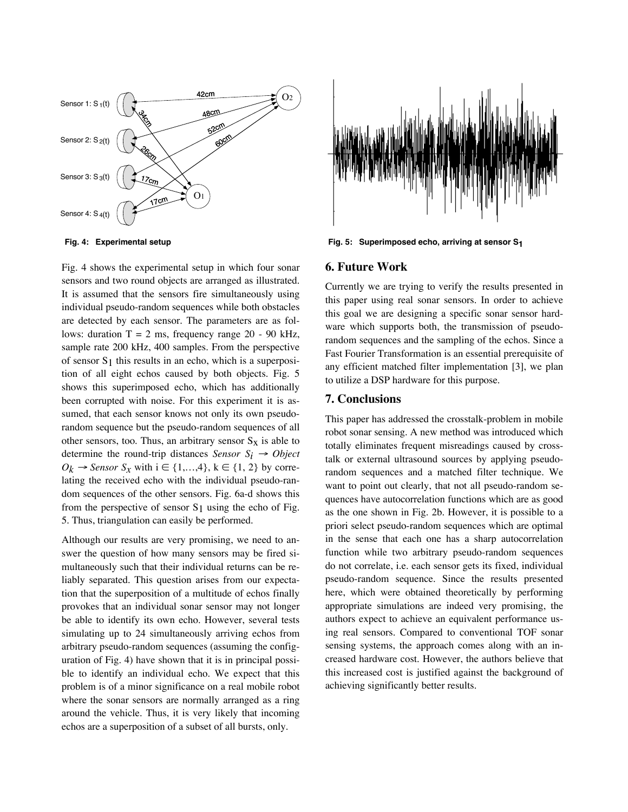

Fig. 4 shows the experimental setup in which four sonar sensors and two round objects are arranged as illustrated. It is assumed that the sensors fire simultaneously using individual pseudo-random sequences while both obstacles are detected by each sensor. The parameters are as follows: duration  $T = 2$  ms, frequency range 20 - 90 kHz, sample rate 200 kHz, 400 samples. From the perspective of sensor S1 this results in an echo, which is a superposition of all eight echos caused by both objects. Fig. 5 shows this superimposed echo, which has additionally been corrupted with noise. For this experiment it is assumed, that each sensor knows not only its own pseudorandom sequence but the pseudo-random sequences of all other sensors, too. Thus, an arbitrary sensor  $S_x$  is able to determine the round-trip distances *Sensor*  $S_i \rightarrow Object$  $O_k \rightarrow$  Sensor  $S_x$  with  $i \in \{1, ..., 4\}$ ,  $k \in \{1, 2\}$  by correlating the received echo with the individual pseudo-random sequences of the other sensors. Fig. 6a-d shows this from the perspective of sensor  $S_1$  using the echo of Fig. 5. Thus, triangulation can easily be performed.

Although our results are very promising, we need to answer the question of how many sensors may be fired simultaneously such that their individual returns can be reliably separated. This question arises from our expectation that the superposition of a multitude of echos finally provokes that an individual sonar sensor may not longer be able to identify its own echo. However, several tests simulating up to 24 simultaneously arriving echos from arbitrary pseudo-random sequences (assuming the configuration of Fig. 4) have shown that it is in principal possible to identify an individual echo. We expect that this problem is of a minor significance on a real mobile robot where the sonar sensors are normally arranged as a ring around the vehicle. Thus, it is very likely that incoming echos are a superposition of a subset of all bursts, only.



**Fig. 4: Experimental setup Fig. 5: Superimposed echo, arriving at sensor S1**

## **6. Future Work**

Currently we are trying to verify the results presented in this paper using real sonar sensors. In order to achieve this goal we are designing a specific sonar sensor hardware which supports both, the transmission of pseudorandom sequences and the sampling of the echos. Since a Fast Fourier Transformation is an essential prerequisite of any efficient matched filter implementation [3], we plan to utilize a DSP hardware for this purpose.

#### **7. Conclusions**

This paper has addressed the crosstalk-problem in mobile robot sonar sensing. A new method was introduced which totally eliminates frequent misreadings caused by crosstalk or external ultrasound sources by applying pseudorandom sequences and a matched filter technique. We want to point out clearly, that not all pseudo-random sequences have autocorrelation functions which are as good as the one shown in Fig. 2b. However, it is possible to a priori select pseudo-random sequences which are optimal in the sense that each one has a sharp autocorrelation function while two arbitrary pseudo-random sequences do not correlate, i.e. each sensor gets its fixed, individual pseudo-random sequence. Since the results presented here, which were obtained theoretically by performing appropriate simulations are indeed very promising, the authors expect to achieve an equivalent performance using real sensors. Compared to conventional TOF sonar sensing systems, the approach comes along with an increased hardware cost. However, the authors believe that this increased cost is justified against the background of achieving significantly better results.